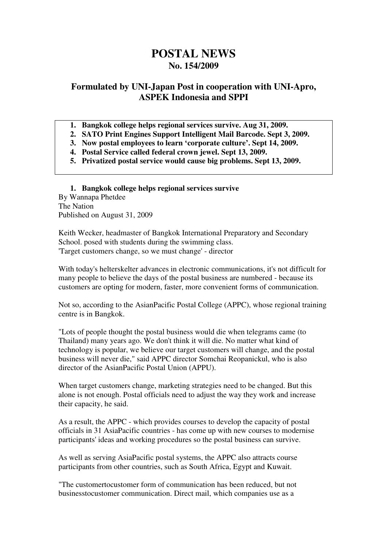# **POSTAL NEWS No. 154/2009**

# **Formulated by UNI-Japan Post in cooperation with UNI-Apro, ASPEK Indonesia and SPPI**

- **1. Bangkok college helps regional services survive. Aug 31, 2009.**
- **2. SATO Print Engines Support Intelligent Mail Barcode. Sept 3, 2009.**
- **3. Now postal employees to learn 'corporate culture'. Sept 14, 2009.**
- **4. Postal Service called federal crown jewel. Sept 13, 2009.**
- **5. Privatized postal service would cause big problems. Sept 13, 2009.**

**1. Bangkok college helps regional services survive**  By Wannapa Phetdee The Nation Published on August 31, 2009

Keith Wecker, headmaster of Bangkok International Preparatory and Secondary School. posed with students during the swimming class. 'Target customers change, so we must change' - director

With today's helterskelter advances in electronic communications, it's not difficult for many people to believe the days of the postal business are numbered - because its customers are opting for modern, faster, more convenient forms of communication.

Not so, according to the AsianPacific Postal College (APPC), whose regional training centre is in Bangkok.

"Lots of people thought the postal business would die when telegrams came (to Thailand) many years ago. We don't think it will die. No matter what kind of technology is popular, we believe our target customers will change, and the postal business will never die," said APPC director Somchai Reopanickul, who is also director of the AsianPacific Postal Union (APPU).

When target customers change, marketing strategies need to be changed. But this alone is not enough. Postal officials need to adjust the way they work and increase their capacity, he said.

As a result, the APPC - which provides courses to develop the capacity of postal officials in 31 AsiaPacific countries - has come up with new courses to modernise participants' ideas and working procedures so the postal business can survive.

As well as serving AsiaPacific postal systems, the APPC also attracts course participants from other countries, such as South Africa, Egypt and Kuwait.

"The customertocustomer form of communication has been reduced, but not businesstocustomer communication. Direct mail, which companies use as a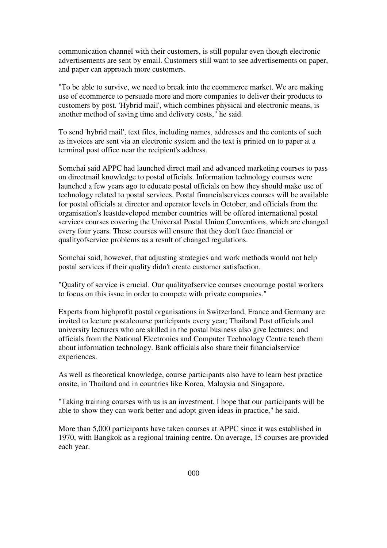communication channel with their customers, is still popular even though electronic advertisements are sent by email. Customers still want to see advertisements on paper, and paper can approach more customers.

"To be able to survive, we need to break into the ecommerce market. We are making use of ecommerce to persuade more and more companies to deliver their products to customers by post. 'Hybrid mail', which combines physical and electronic means, is another method of saving time and delivery costs," he said.

To send 'hybrid mail', text files, including names, addresses and the contents of such as invoices are sent via an electronic system and the text is printed on to paper at a terminal post office near the recipient's address.

Somchai said APPC had launched direct mail and advanced marketing courses to pass on directmail knowledge to postal officials. Information technology courses were launched a few years ago to educate postal officials on how they should make use of technology related to postal services. Postal financialservices courses will be available for postal officials at director and operator levels in October, and officials from the organisation's leastdeveloped member countries will be offered international postal services courses covering the Universal Postal Union Conventions, which are changed every four years. These courses will ensure that they don't face financial or qualityofservice problems as a result of changed regulations.

Somchai said, however, that adjusting strategies and work methods would not help postal services if their quality didn't create customer satisfaction.

"Quality of service is crucial. Our qualityofservice courses encourage postal workers to focus on this issue in order to compete with private companies."

Experts from highprofit postal organisations in Switzerland, France and Germany are invited to lecture postalcourse participants every year; Thailand Post officials and university lecturers who are skilled in the postal business also give lectures; and officials from the National Electronics and Computer Technology Centre teach them about information technology. Bank officials also share their financialservice experiences.

As well as theoretical knowledge, course participants also have to learn best practice onsite, in Thailand and in countries like Korea, Malaysia and Singapore.

"Taking training courses with us is an investment. I hope that our participants will be able to show they can work better and adopt given ideas in practice," he said.

More than 5,000 participants have taken courses at APPC since it was established in 1970, with Bangkok as a regional training centre. On average, 15 courses are provided each year.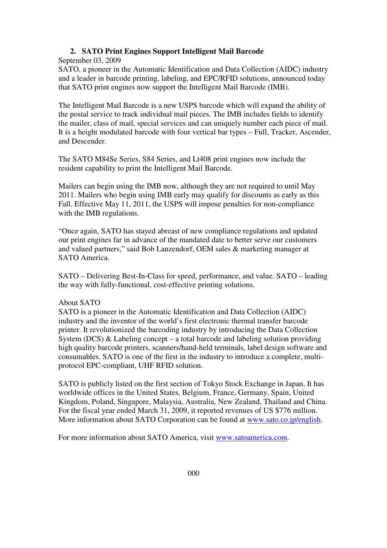#### **2. SATO Print Engines Support Intelligent Mail Barcode**

September 03, 2009

SATO, a pioneer in the Automatic Identification and Data Collection (AIDC) industry and a leader in barcode printing, labeling, and EPC/RFID solutions, announced today that SATO print engines now support the Intelligent Mail Barcode (IMB).

The Intelligent Mail Barcode is a new USPS barcode which will expand the ability of the postal service to track individual mail pieces. The IMB includes fields to identify the mailer, class of mail, special services and can uniquely number each piece of mail. It is a height modulated barcode with four vertical bar types – Full, Tracker, Ascender, and Descender.

The SATO M84Se Series, S84 Series, and Lt408 print engines now include the resident capability to print the Intelligent Mail Barcode.

Mailers can begin using the IMB now, although they are not required to until May 2011. Mailers who begin using IMB early may qualify for discounts as early as this Fall. Effective May 11, 2011, the USPS will impose penalties for non-compliance with the IMB regulations.

"Once again, SATO has stayed abreast of new compliance regulations and updated our print engines far in advance of the mandated date to better serve our customers and valued partners," said Bob Lanzendorf, OEM sales & marketing manager at SATO America.

SATO – Delivering Best-In-Class for speed, performance, and value. SATO – leading the way with fully-functional, cost-effective printing solutions.

#### About SATO

SATO is a pioneer in the Automatic Identification and Data Collection (AIDC) industry and the inventor of the world's first electronic thermal transfer barcode printer. It revolutionized the barcoding industry by introducing the Data Collection System (DCS)  $\&$  Labeling concept – a total barcode and labeling solution providing high quality barcode printers, scanners/hand-held terminals, label design software and consumables. SATO is one of the first in the industry to introduce a complete, multiprotocol EPC-compliant, UHF RFID solution.

SATO is publicly listed on the first section of Tokyo Stock Exchange in Japan. It has worldwide offices in the United States, Belgium, France, Germany, Spain, United Kingdom, Poland, Singapore, Malaysia, Australia, New Zealand, Thailand and China. For the fiscal year ended March 31, 2009, it reported revenues of US \$776 million. More information about SATO Corporation can be found at www.sato.co.jp/english.

For more information about SATO America, visit www.satoamerica.com.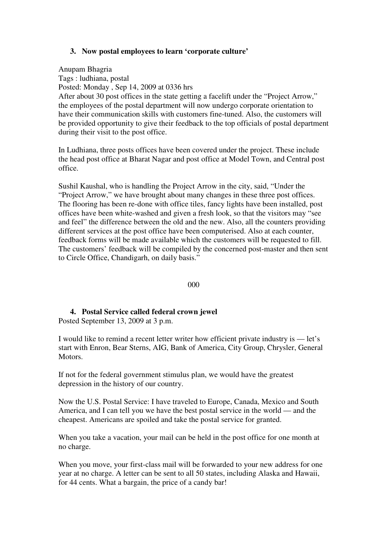### **3. Now postal employees to learn 'corporate culture'**

Anupam Bhagria Tags : ludhiana, postal Posted: Monday , Sep 14, 2009 at 0336 hrs After about 30 post offices in the state getting a facelift under the "Project Arrow," the employees of the postal department will now undergo corporate orientation to have their communication skills with customers fine-tuned. Also, the customers will be provided opportunity to give their feedback to the top officials of postal department during their visit to the post office.

In Ludhiana, three posts offices have been covered under the project. These include the head post office at Bharat Nagar and post office at Model Town, and Central post office.

Sushil Kaushal, who is handling the Project Arrow in the city, said, "Under the "Project Arrow," we have brought about many changes in these three post offices. The flooring has been re-done with office tiles, fancy lights have been installed, post offices have been white-washed and given a fresh look, so that the visitors may "see and feel" the difference between the old and the new. Also, all the counters providing different services at the post office have been computerised. Also at each counter, feedback forms will be made available which the customers will be requested to fill. The customers' feedback will be compiled by the concerned post-master and then sent to Circle Office, Chandigarh, on daily basis."

000

## **4. Postal Service called federal crown jewel**

Posted September 13, 2009 at 3 p.m.

I would like to remind a recent letter writer how efficient private industry is — let's start with Enron, Bear Sterns, AIG, Bank of America, City Group, Chrysler, General Motors.

If not for the federal government stimulus plan, we would have the greatest depression in the history of our country.

Now the U.S. Postal Service: I have traveled to Europe, Canada, Mexico and South America, and I can tell you we have the best postal service in the world — and the cheapest. Americans are spoiled and take the postal service for granted.

When you take a vacation, your mail can be held in the post office for one month at no charge.

When you move, your first-class mail will be forwarded to your new address for one year at no charge. A letter can be sent to all 50 states, including Alaska and Hawaii, for 44 cents. What a bargain, the price of a candy bar!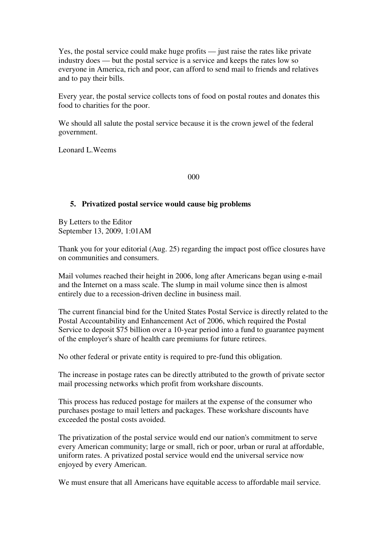Yes, the postal service could make huge profits — just raise the rates like private industry does — but the postal service is a service and keeps the rates low so everyone in America, rich and poor, can afford to send mail to friends and relatives and to pay their bills.

Every year, the postal service collects tons of food on postal routes and donates this food to charities for the poor.

We should all salute the postal service because it is the crown jewel of the federal government.

Leonard L.Weems

000

#### **5. Privatized postal service would cause big problems**

By Letters to the Editor September 13, 2009, 1:01AM

Thank you for your editorial (Aug. 25) regarding the impact post office closures have on communities and consumers.

Mail volumes reached their height in 2006, long after Americans began using e-mail and the Internet on a mass scale. The slump in mail volume since then is almost entirely due to a recession-driven decline in business mail.

The current financial bind for the United States Postal Service is directly related to the Postal Accountability and Enhancement Act of 2006, which required the Postal Service to deposit \$75 billion over a 10-year period into a fund to guarantee payment of the employer's share of health care premiums for future retirees.

No other federal or private entity is required to pre-fund this obligation.

The increase in postage rates can be directly attributed to the growth of private sector mail processing networks which profit from workshare discounts.

This process has reduced postage for mailers at the expense of the consumer who purchases postage to mail letters and packages. These workshare discounts have exceeded the postal costs avoided.

The privatization of the postal service would end our nation's commitment to serve every American community; large or small, rich or poor, urban or rural at affordable, uniform rates. A privatized postal service would end the universal service now enjoyed by every American.

We must ensure that all Americans have equitable access to affordable mail service.